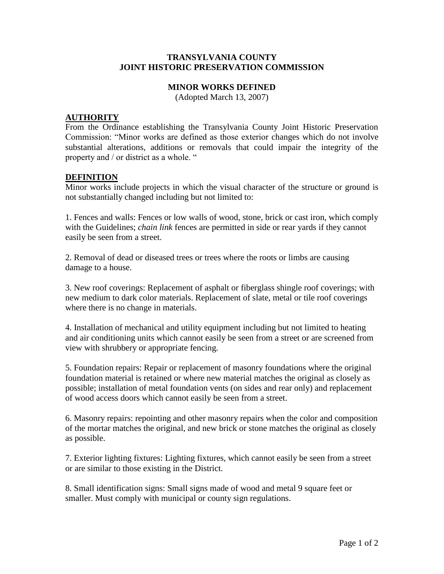## **TRANSYLVANIA COUNTY JOINT HISTORIC PRESERVATION COMMISSION**

## **MINOR WORKS DEFINED**

(Adopted March 13, 2007)

## **AUTHORITY**

From the Ordinance establishing the Transylvania County Joint Historic Preservation Commission: "Minor works are defined as those exterior changes which do not involve substantial alterations, additions or removals that could impair the integrity of the property and / or district as a whole. "

## **DEFINITION**

Minor works include projects in which the visual character of the structure or ground is not substantially changed including but not limited to:

1. Fences and walls: Fences or low walls of wood, stone, brick or cast iron, which comply with the Guidelines; *chain link* fences are permitted in side or rear yards if they cannot easily be seen from a street.

2. Removal of dead or diseased trees or trees where the roots or limbs are causing damage to a house.

3. New roof coverings: Replacement of asphalt or fiberglass shingle roof coverings; with new medium to dark color materials. Replacement of slate, metal or tile roof coverings where there is no change in materials.

4. Installation of mechanical and utility equipment including but not limited to heating and air conditioning units which cannot easily be seen from a street or are screened from view with shrubbery or appropriate fencing.

5. Foundation repairs: Repair or replacement of masonry foundations where the original foundation material is retained or where new material matches the original as closely as possible; installation of metal foundation vents (on sides and rear only) and replacement of wood access doors which cannot easily be seen from a street.

6. Masonry repairs: repointing and other masonry repairs when the color and composition of the mortar matches the original, and new brick or stone matches the original as closely as possible.

7. Exterior lighting fixtures: Lighting fixtures, which cannot easily be seen from a street or are similar to those existing in the District.

8. Small identification signs: Small signs made of wood and metal 9 square feet or smaller. Must comply with municipal or county sign regulations.